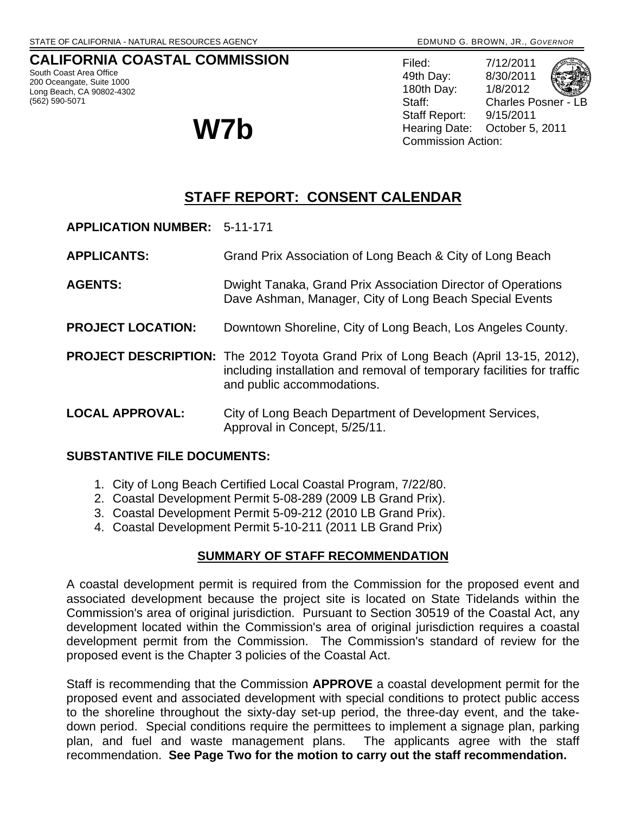## **CALIFORNIA COASTAL COMMISSION**

South Coast Area Office 200 Oceangate, Suite 1000 Long Beach, CA 90802-4302 (562) 590-5071

Filed: 7/12/2011 49th Day: 8/30/2011 180th Day: 1/8/2012 Staff: Charles Posner - LB Staff Report: 9/15/2011 W7b **W7b Commission Action:** 

# **STAFF REPORT: CONSENT CALENDAR**

- **APPLICATION NUMBER:** 5-11-171
- **APPLICANTS:** Grand Prix Association of Long Beach & City of Long Beach
- **AGENTS:** Dwight Tanaka, Grand Prix Association Director of Operations Dave Ashman, Manager, City of Long Beach Special Events
- **PROJECT LOCATION:** Downtown Shoreline, City of Long Beach, Los Angeles County.
- **PROJECT DESCRIPTION:** The 2012 Toyota Grand Prix of Long Beach (April 13-15, 2012), including installation and removal of temporary facilities for traffic and public accommodations.
- **LOCAL APPROVAL:** City of Long Beach Department of Development Services, Approval in Concept, 5/25/11.

## **SUBSTANTIVE FILE DOCUMENTS:**

- 1. City of Long Beach Certified Local Coastal Program, 7/22/80.
- 2. Coastal Development Permit 5-08-289 (2009 LB Grand Prix).
- 3. Coastal Development Permit 5-09-212 (2010 LB Grand Prix).
- 4. Coastal Development Permit 5-10-211 (2011 LB Grand Prix)

#### **SUMMARY OF STAFF RECOMMENDATION**

A coastal development permit is required from the Commission for the proposed event and associated development because the project site is located on State Tidelands within the Commission's area of original jurisdiction. Pursuant to Section 30519 of the Coastal Act, any development located within the Commission's area of original jurisdiction requires a coastal development permit from the Commission. The Commission's standard of review for the proposed event is the Chapter 3 policies of the Coastal Act.

Staff is recommending that the Commission **APPROVE** a coastal development permit for the proposed event and associated development with special conditions to protect public access to the shoreline throughout the sixty-day set-up period, the three-day event, and the takedown period. Special conditions require the permittees to implement a signage plan, parking plan, and fuel and waste management plans. The applicants agree with the staff recommendation. **See Page Two for the motion to carry out the staff recommendation.**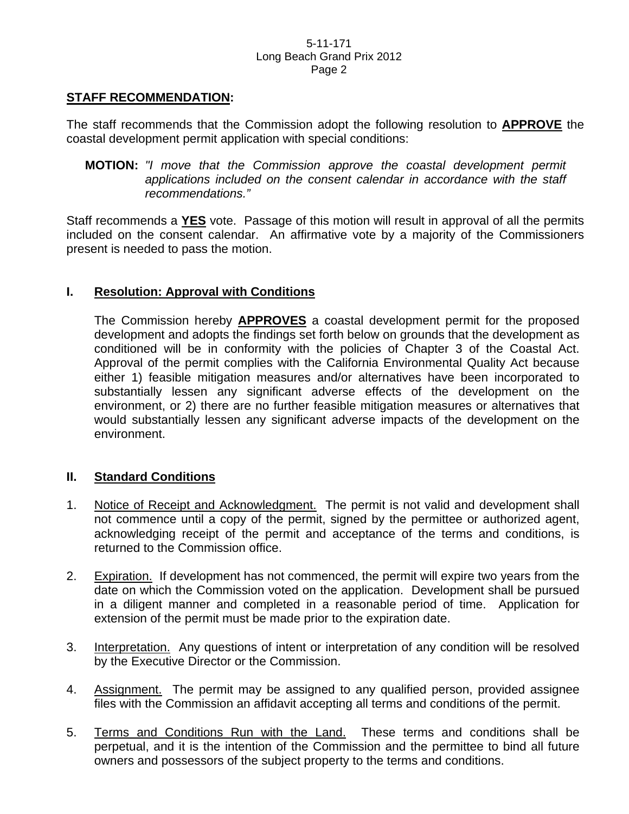## **STAFF RECOMMENDATION:**

The staff recommends that the Commission adopt the following resolution to **APPROVE** the coastal development permit application with special conditions:

 **MOTION:** *"I move that the Commission approve the coastal development permit applications included on the consent calendar in accordance with the staff recommendations."* 

Staff recommends a **YES** vote. Passage of this motion will result in approval of all the permits included on the consent calendar. An affirmative vote by a majority of the Commissioners present is needed to pass the motion.

## **I. Resolution: Approval with Conditions**

The Commission hereby **APPROVES** a coastal development permit for the proposed development and adopts the findings set forth below on grounds that the development as conditioned will be in conformity with the policies of Chapter 3 of the Coastal Act. Approval of the permit complies with the California Environmental Quality Act because either 1) feasible mitigation measures and/or alternatives have been incorporated to substantially lessen any significant adverse effects of the development on the environment, or 2) there are no further feasible mitigation measures or alternatives that would substantially lessen any significant adverse impacts of the development on the environment.

## **II. Standard Conditions**

- 1. Notice of Receipt and Acknowledgment. The permit is not valid and development shall not commence until a copy of the permit, signed by the permittee or authorized agent, acknowledging receipt of the permit and acceptance of the terms and conditions, is returned to the Commission office.
- 2. Expiration. If development has not commenced, the permit will expire two years from the date on which the Commission voted on the application. Development shall be pursued in a diligent manner and completed in a reasonable period of time. Application for extension of the permit must be made prior to the expiration date.
- 3. Interpretation. Any questions of intent or interpretation of any condition will be resolved by the Executive Director or the Commission.
- 4. Assignment. The permit may be assigned to any qualified person, provided assignee files with the Commission an affidavit accepting all terms and conditions of the permit.
- 5. Terms and Conditions Run with the Land. These terms and conditions shall be perpetual, and it is the intention of the Commission and the permittee to bind all future owners and possessors of the subject property to the terms and conditions.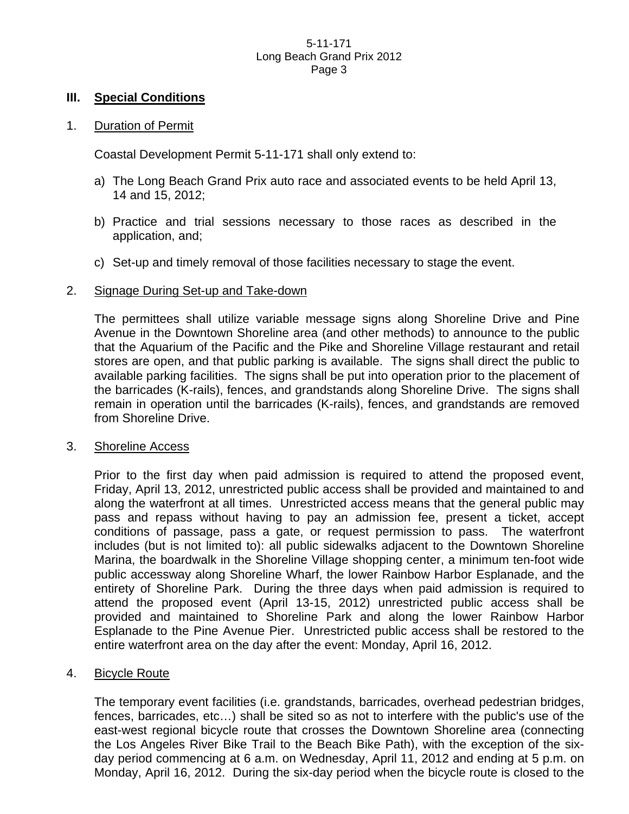#### **III. Special Conditions**

#### 1. Duration of Permit

Coastal Development Permit 5-11-171 shall only extend to:

- a) The Long Beach Grand Prix auto race and associated events to be held April 13, 14 and 15, 2012;
- b) Practice and trial sessions necessary to those races as described in the application, and;
- c) Set-up and timely removal of those facilities necessary to stage the event.

#### 2. Signage During Set-up and Take-down

 The permittees shall utilize variable message signs along Shoreline Drive and Pine Avenue in the Downtown Shoreline area (and other methods) to announce to the public that the Aquarium of the Pacific and the Pike and Shoreline Village restaurant and retail stores are open, and that public parking is available. The signs shall direct the public to available parking facilities. The signs shall be put into operation prior to the placement of the barricades (K-rails), fences, and grandstands along Shoreline Drive. The signs shall remain in operation until the barricades (K-rails), fences, and grandstands are removed from Shoreline Drive.

#### 3. Shoreline Access

 Prior to the first day when paid admission is required to attend the proposed event, Friday, April 13, 2012, unrestricted public access shall be provided and maintained to and along the waterfront at all times. Unrestricted access means that the general public may pass and repass without having to pay an admission fee, present a ticket, accept conditions of passage, pass a gate, or request permission to pass. The waterfront includes (but is not limited to): all public sidewalks adjacent to the Downtown Shoreline Marina, the boardwalk in the Shoreline Village shopping center, a minimum ten-foot wide public accessway along Shoreline Wharf, the lower Rainbow Harbor Esplanade, and the entirety of Shoreline Park. During the three days when paid admission is required to attend the proposed event (April 13-15, 2012) unrestricted public access shall be provided and maintained to Shoreline Park and along the lower Rainbow Harbor Esplanade to the Pine Avenue Pier. Unrestricted public access shall be restored to the entire waterfront area on the day after the event: Monday, April 16, 2012.

## 4. Bicycle Route

 The temporary event facilities (i.e. grandstands, barricades, overhead pedestrian bridges, fences, barricades, etc…) shall be sited so as not to interfere with the public's use of the east-west regional bicycle route that crosses the Downtown Shoreline area (connecting the Los Angeles River Bike Trail to the Beach Bike Path), with the exception of the sixday period commencing at 6 a.m. on Wednesday, April 11, 2012 and ending at 5 p.m. on Monday, April 16, 2012. During the six-day period when the bicycle route is closed to the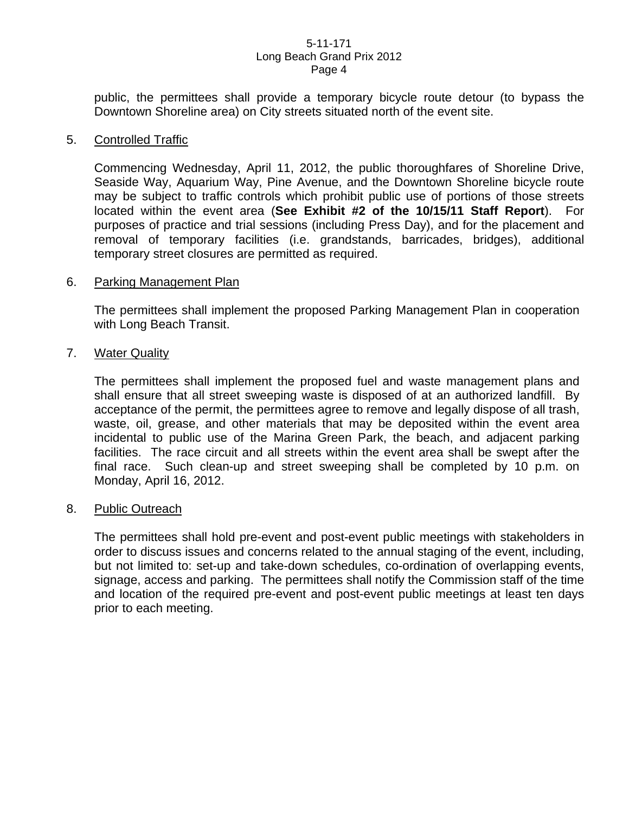public, the permittees shall provide a temporary bicycle route detour (to bypass the Downtown Shoreline area) on City streets situated north of the event site.

#### 5. Controlled Traffic

 Commencing Wednesday, April 11, 2012, the public thoroughfares of Shoreline Drive, Seaside Way, Aquarium Way, Pine Avenue, and the Downtown Shoreline bicycle route may be subject to traffic controls which prohibit public use of portions of those streets located within the event area (**See Exhibit #2 of the 10/15/11 Staff Report**). For purposes of practice and trial sessions (including Press Day), and for the placement and removal of temporary facilities (i.e. grandstands, barricades, bridges), additional temporary street closures are permitted as required.

#### 6. Parking Management Plan

 The permittees shall implement the proposed Parking Management Plan in cooperation with Long Beach Transit.

#### 7. Water Quality

 The permittees shall implement the proposed fuel and waste management plans and shall ensure that all street sweeping waste is disposed of at an authorized landfill. By acceptance of the permit, the permittees agree to remove and legally dispose of all trash, waste, oil, grease, and other materials that may be deposited within the event area incidental to public use of the Marina Green Park, the beach, and adjacent parking facilities. The race circuit and all streets within the event area shall be swept after the final race. Such clean-up and street sweeping shall be completed by 10 p.m. on Monday, April 16, 2012.

#### 8. Public Outreach

 The permittees shall hold pre-event and post-event public meetings with stakeholders in order to discuss issues and concerns related to the annual staging of the event, including, but not limited to: set-up and take-down schedules, co-ordination of overlapping events, signage, access and parking. The permittees shall notify the Commission staff of the time and location of the required pre-event and post-event public meetings at least ten days prior to each meeting.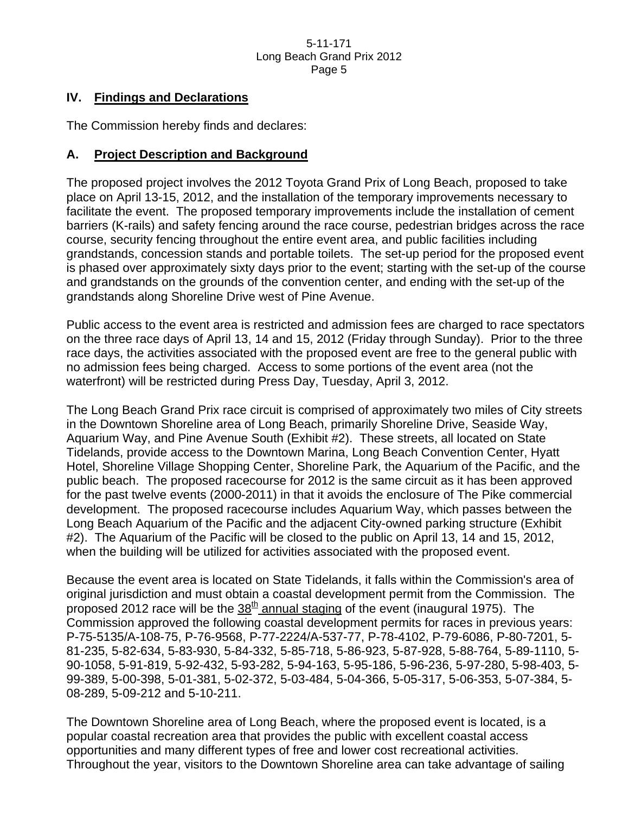## **IV. Findings and Declarations**

The Commission hereby finds and declares:

## **A. Project Description and Background**

The proposed project involves the 2012 Toyota Grand Prix of Long Beach, proposed to take place on April 13-15, 2012, and the installation of the temporary improvements necessary to facilitate the event. The proposed temporary improvements include the installation of cement barriers (K-rails) and safety fencing around the race course, pedestrian bridges across the race course, security fencing throughout the entire event area, and public facilities including grandstands, concession stands and portable toilets. The set-up period for the proposed event is phased over approximately sixty days prior to the event; starting with the set-up of the course and grandstands on the grounds of the convention center, and ending with the set-up of the grandstands along Shoreline Drive west of Pine Avenue.

Public access to the event area is restricted and admission fees are charged to race spectators on the three race days of April 13, 14 and 15, 2012 (Friday through Sunday). Prior to the three race days, the activities associated with the proposed event are free to the general public with no admission fees being charged. Access to some portions of the event area (not the waterfront) will be restricted during Press Day, Tuesday, April 3, 2012.

The Long Beach Grand Prix race circuit is comprised of approximately two miles of City streets in the Downtown Shoreline area of Long Beach, primarily Shoreline Drive, Seaside Way, Aquarium Way, and Pine Avenue South (Exhibit #2). These streets, all located on State Tidelands, provide access to the Downtown Marina, Long Beach Convention Center, Hyatt Hotel, Shoreline Village Shopping Center, Shoreline Park, the Aquarium of the Pacific, and the public beach. The proposed racecourse for 2012 is the same circuit as it has been approved for the past twelve events (2000-2011) in that it avoids the enclosure of The Pike commercial development. The proposed racecourse includes Aquarium Way, which passes between the Long Beach Aquarium of the Pacific and the adjacent City-owned parking structure (Exhibit #2). The Aquarium of the Pacific will be closed to the public on April 13, 14 and 15, 2012, when the building will be utilized for activities associated with the proposed event.

Because the event area is located on State Tidelands, it falls within the Commission's area of original jurisdiction and must obtain a coastal development permit from the Commission. The proposed 2012 race will be the  $38<sup>th</sup>$  annual staging of the event (inaugural 1975). The Commission approved the following coastal development permits for races in previous years: P-75-5135/A-108-75, P-76-9568, P-77-2224/A-537-77, P-78-4102, P-79-6086, P-80-7201, 5- 81-235, 5-82-634, 5-83-930, 5-84-332, 5-85-718, 5-86-923, 5-87-928, 5-88-764, 5-89-1110, 5- 90-1058, 5-91-819, 5-92-432, 5-93-282, 5-94-163, 5-95-186, 5-96-236, 5-97-280, 5-98-403, 5- 99-389, 5-00-398, 5-01-381, 5-02-372, 5-03-484, 5-04-366, 5-05-317, 5-06-353, 5-07-384, 5- 08-289, 5-09-212 and 5-10-211.

The Downtown Shoreline area of Long Beach, where the proposed event is located, is a popular coastal recreation area that provides the public with excellent coastal access opportunities and many different types of free and lower cost recreational activities. Throughout the year, visitors to the Downtown Shoreline area can take advantage of sailing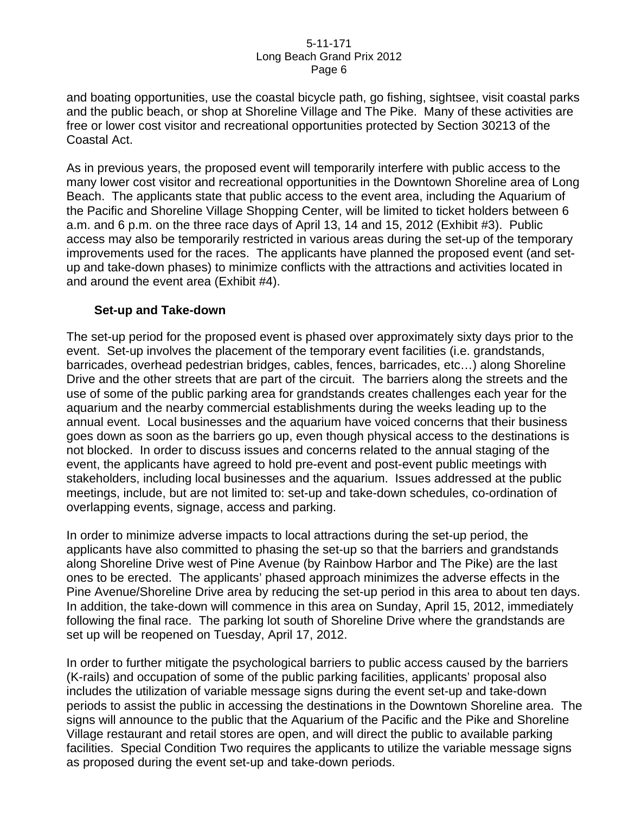and boating opportunities, use the coastal bicycle path, go fishing, sightsee, visit coastal parks and the public beach, or shop at Shoreline Village and The Pike. Many of these activities are free or lower cost visitor and recreational opportunities protected by Section 30213 of the Coastal Act.

As in previous years, the proposed event will temporarily interfere with public access to the many lower cost visitor and recreational opportunities in the Downtown Shoreline area of Long Beach. The applicants state that public access to the event area, including the Aquarium of the Pacific and Shoreline Village Shopping Center, will be limited to ticket holders between 6 a.m. and 6 p.m. on the three race days of April 13, 14 and 15, 2012 (Exhibit #3). Public access may also be temporarily restricted in various areas during the set-up of the temporary improvements used for the races. The applicants have planned the proposed event (and setup and take-down phases) to minimize conflicts with the attractions and activities located in and around the event area (Exhibit #4).

## **Set-up and Take-down**

The set-up period for the proposed event is phased over approximately sixty days prior to the event. Set-up involves the placement of the temporary event facilities (i.e. grandstands, barricades, overhead pedestrian bridges, cables, fences, barricades, etc…) along Shoreline Drive and the other streets that are part of the circuit. The barriers along the streets and the use of some of the public parking area for grandstands creates challenges each year for the aquarium and the nearby commercial establishments during the weeks leading up to the annual event. Local businesses and the aquarium have voiced concerns that their business goes down as soon as the barriers go up, even though physical access to the destinations is not blocked. In order to discuss issues and concerns related to the annual staging of the event, the applicants have agreed to hold pre-event and post-event public meetings with stakeholders, including local businesses and the aquarium. Issues addressed at the public meetings, include, but are not limited to: set-up and take-down schedules, co-ordination of overlapping events, signage, access and parking.

In order to minimize adverse impacts to local attractions during the set-up period, the applicants have also committed to phasing the set-up so that the barriers and grandstands along Shoreline Drive west of Pine Avenue (by Rainbow Harbor and The Pike) are the last ones to be erected. The applicants' phased approach minimizes the adverse effects in the Pine Avenue/Shoreline Drive area by reducing the set-up period in this area to about ten days. In addition, the take-down will commence in this area on Sunday, April 15, 2012, immediately following the final race. The parking lot south of Shoreline Drive where the grandstands are set up will be reopened on Tuesday, April 17, 2012.

In order to further mitigate the psychological barriers to public access caused by the barriers (K-rails) and occupation of some of the public parking facilities, applicants' proposal also includes the utilization of variable message signs during the event set-up and take-down periods to assist the public in accessing the destinations in the Downtown Shoreline area. The signs will announce to the public that the Aquarium of the Pacific and the Pike and Shoreline Village restaurant and retail stores are open, and will direct the public to available parking facilities. Special Condition Two requires the applicants to utilize the variable message signs as proposed during the event set-up and take-down periods.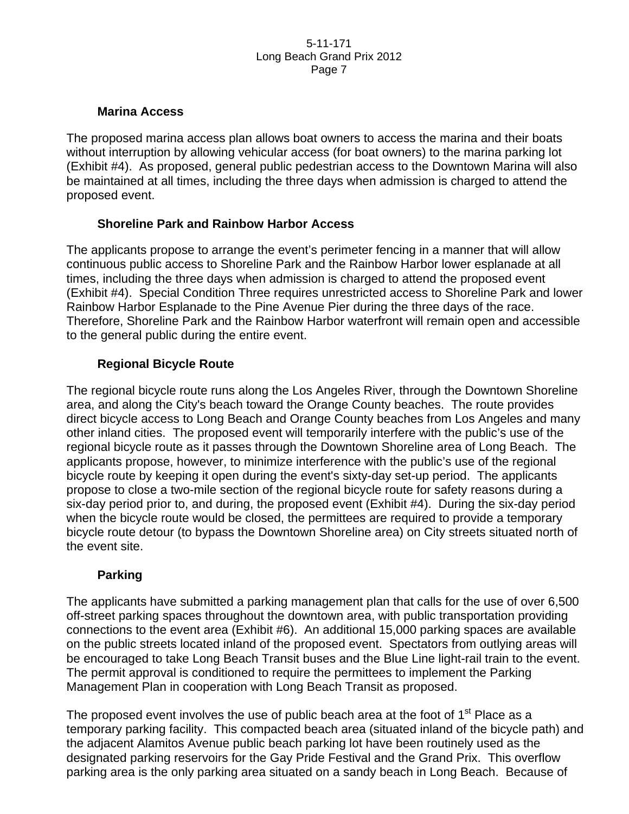## **Marina Access**

The proposed marina access plan allows boat owners to access the marina and their boats without interruption by allowing vehicular access (for boat owners) to the marina parking lot (Exhibit #4). As proposed, general public pedestrian access to the Downtown Marina will also be maintained at all times, including the three days when admission is charged to attend the proposed event.

## **Shoreline Park and Rainbow Harbor Access**

The applicants propose to arrange the event's perimeter fencing in a manner that will allow continuous public access to Shoreline Park and the Rainbow Harbor lower esplanade at all times, including the three days when admission is charged to attend the proposed event (Exhibit #4). Special Condition Three requires unrestricted access to Shoreline Park and lower Rainbow Harbor Esplanade to the Pine Avenue Pier during the three days of the race. Therefore, Shoreline Park and the Rainbow Harbor waterfront will remain open and accessible to the general public during the entire event.

## **Regional Bicycle Route**

The regional bicycle route runs along the Los Angeles River, through the Downtown Shoreline area, and along the City's beach toward the Orange County beaches. The route provides direct bicycle access to Long Beach and Orange County beaches from Los Angeles and many other inland cities. The proposed event will temporarily interfere with the public's use of the regional bicycle route as it passes through the Downtown Shoreline area of Long Beach. The applicants propose, however, to minimize interference with the public's use of the regional bicycle route by keeping it open during the event's sixty-day set-up period. The applicants propose to close a two-mile section of the regional bicycle route for safety reasons during a six-day period prior to, and during, the proposed event (Exhibit #4). During the six-day period when the bicycle route would be closed, the permittees are required to provide a temporary bicycle route detour (to bypass the Downtown Shoreline area) on City streets situated north of the event site.

## **Parking**

The applicants have submitted a parking management plan that calls for the use of over 6,500 off-street parking spaces throughout the downtown area, with public transportation providing connections to the event area (Exhibit #6). An additional 15,000 parking spaces are available on the public streets located inland of the proposed event. Spectators from outlying areas will be encouraged to take Long Beach Transit buses and the Blue Line light-rail train to the event. The permit approval is conditioned to require the permittees to implement the Parking Management Plan in cooperation with Long Beach Transit as proposed.

The proposed event involves the use of public beach area at the foot of 1<sup>st</sup> Place as a temporary parking facility. This compacted beach area (situated inland of the bicycle path) and the adjacent Alamitos Avenue public beach parking lot have been routinely used as the designated parking reservoirs for the Gay Pride Festival and the Grand Prix. This overflow parking area is the only parking area situated on a sandy beach in Long Beach. Because of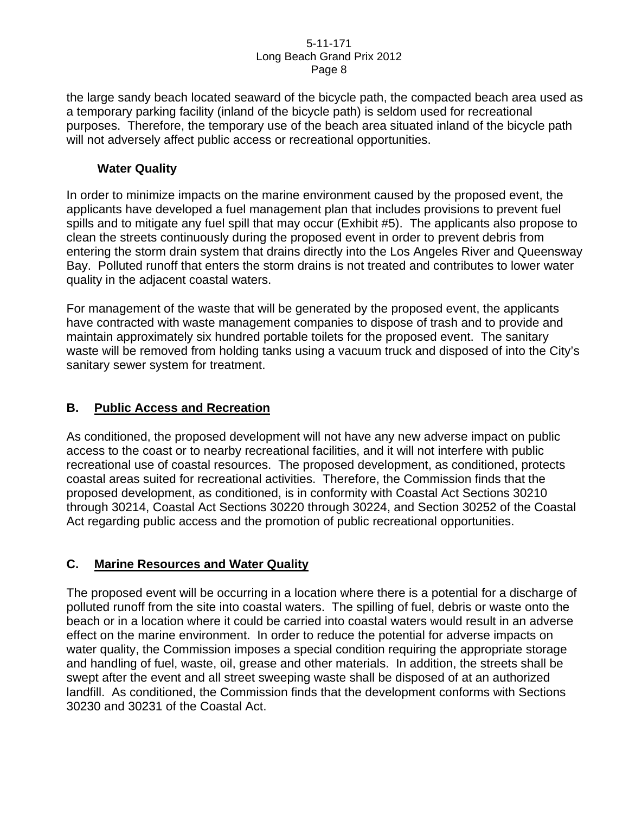the large sandy beach located seaward of the bicycle path, the compacted beach area used as a temporary parking facility (inland of the bicycle path) is seldom used for recreational purposes. Therefore, the temporary use of the beach area situated inland of the bicycle path will not adversely affect public access or recreational opportunities.

## **Water Quality**

In order to minimize impacts on the marine environment caused by the proposed event, the applicants have developed a fuel management plan that includes provisions to prevent fuel spills and to mitigate any fuel spill that may occur (Exhibit #5). The applicants also propose to clean the streets continuously during the proposed event in order to prevent debris from entering the storm drain system that drains directly into the Los Angeles River and Queensway Bay. Polluted runoff that enters the storm drains is not treated and contributes to lower water quality in the adjacent coastal waters.

For management of the waste that will be generated by the proposed event, the applicants have contracted with waste management companies to dispose of trash and to provide and maintain approximately six hundred portable toilets for the proposed event. The sanitary waste will be removed from holding tanks using a vacuum truck and disposed of into the City's sanitary sewer system for treatment.

## **B. Public Access and Recreation**

As conditioned, the proposed development will not have any new adverse impact on public access to the coast or to nearby recreational facilities, and it will not interfere with public recreational use of coastal resources. The proposed development, as conditioned, protects coastal areas suited for recreational activities. Therefore, the Commission finds that the proposed development, as conditioned, is in conformity with Coastal Act Sections 30210 through 30214, Coastal Act Sections 30220 through 30224, and Section 30252 of the Coastal Act regarding public access and the promotion of public recreational opportunities.

# **C. Marine Resources and Water Quality**

The proposed event will be occurring in a location where there is a potential for a discharge of polluted runoff from the site into coastal waters. The spilling of fuel, debris or waste onto the beach or in a location where it could be carried into coastal waters would result in an adverse effect on the marine environment. In order to reduce the potential for adverse impacts on water quality, the Commission imposes a special condition requiring the appropriate storage and handling of fuel, waste, oil, grease and other materials. In addition, the streets shall be swept after the event and all street sweeping waste shall be disposed of at an authorized landfill. As conditioned, the Commission finds that the development conforms with Sections 30230 and 30231 of the Coastal Act.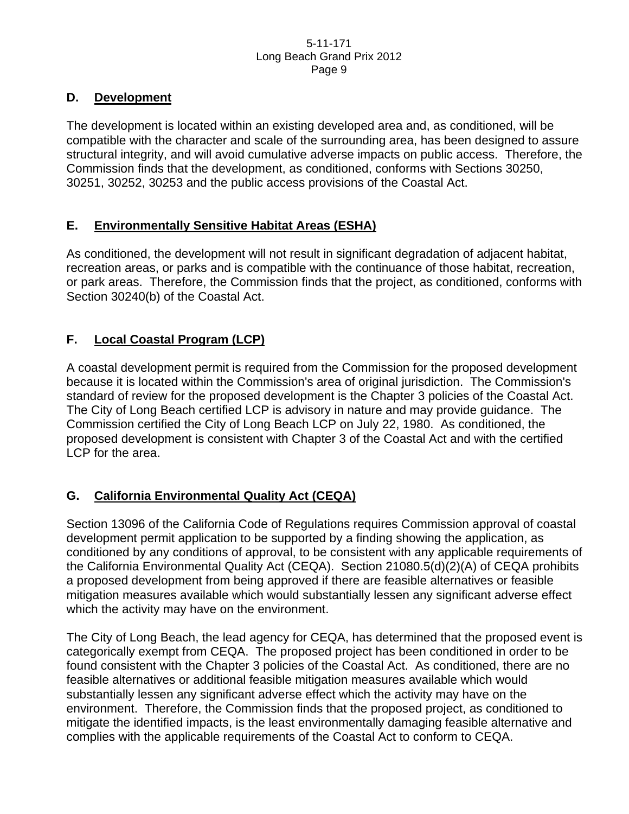## **D. Development**

The development is located within an existing developed area and, as conditioned, will be compatible with the character and scale of the surrounding area, has been designed to assure structural integrity, and will avoid cumulative adverse impacts on public access. Therefore, the Commission finds that the development, as conditioned, conforms with Sections 30250, 30251, 30252, 30253 and the public access provisions of the Coastal Act.

## **E. Environmentally Sensitive Habitat Areas (ESHA)**

As conditioned, the development will not result in significant degradation of adjacent habitat, recreation areas, or parks and is compatible with the continuance of those habitat, recreation, or park areas. Therefore, the Commission finds that the project, as conditioned, conforms with Section 30240(b) of the Coastal Act.

# **F. Local Coastal Program (LCP)**

A coastal development permit is required from the Commission for the proposed development because it is located within the Commission's area of original jurisdiction. The Commission's standard of review for the proposed development is the Chapter 3 policies of the Coastal Act. The City of Long Beach certified LCP is advisory in nature and may provide guidance. The Commission certified the City of Long Beach LCP on July 22, 1980. As conditioned, the proposed development is consistent with Chapter 3 of the Coastal Act and with the certified LCP for the area.

# **G. California Environmental Quality Act (CEQA)**

Section 13096 of the California Code of Regulations requires Commission approval of coastal development permit application to be supported by a finding showing the application, as conditioned by any conditions of approval, to be consistent with any applicable requirements of the California Environmental Quality Act (CEQA). Section 21080.5(d)(2)(A) of CEQA prohibits a proposed development from being approved if there are feasible alternatives or feasible mitigation measures available which would substantially lessen any significant adverse effect which the activity may have on the environment.

The City of Long Beach, the lead agency for CEQA, has determined that the proposed event is categorically exempt from CEQA. The proposed project has been conditioned in order to be found consistent with the Chapter 3 policies of the Coastal Act. As conditioned, there are no feasible alternatives or additional feasible mitigation measures available which would substantially lessen any significant adverse effect which the activity may have on the environment. Therefore, the Commission finds that the proposed project, as conditioned to mitigate the identified impacts, is the least environmentally damaging feasible alternative and complies with the applicable requirements of the Coastal Act to conform to CEQA.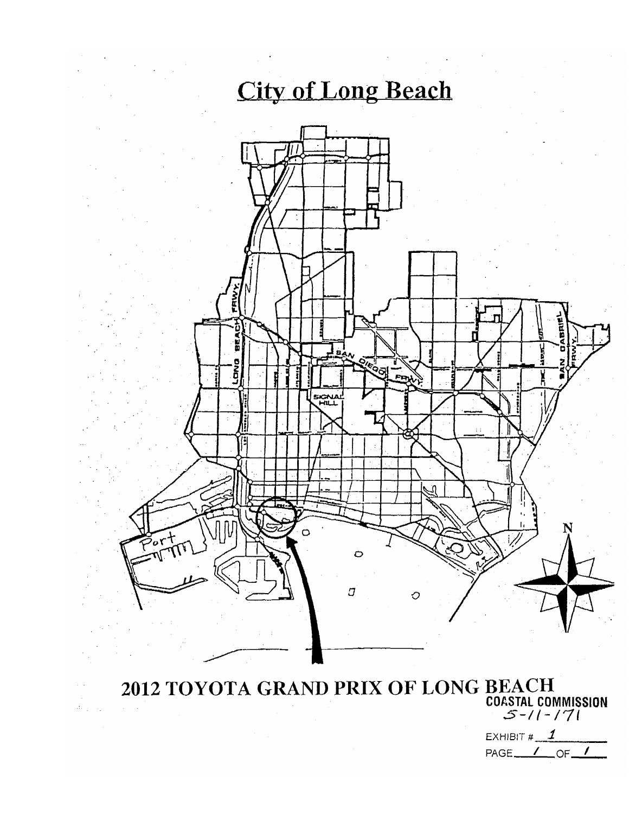

2012 TOYOTA GRAND PRIX OF LONG BEACH<br>  $\frac{1}{2}$ <br>  $\frac{1}{2}$ <br>  $\frac{1}{2}$ 

EXHIBIT  $\sharp$   $\mathcal{I}$ PAGE<sub>44</sub>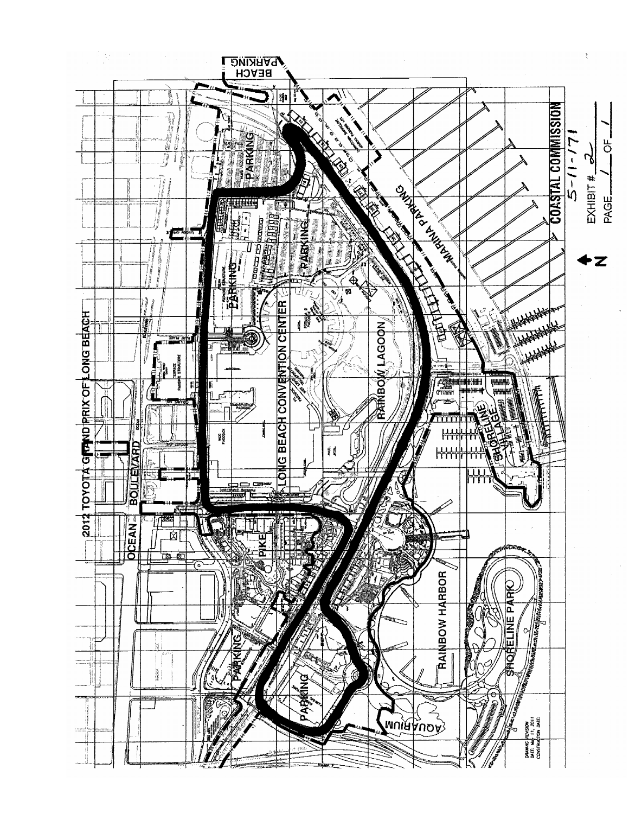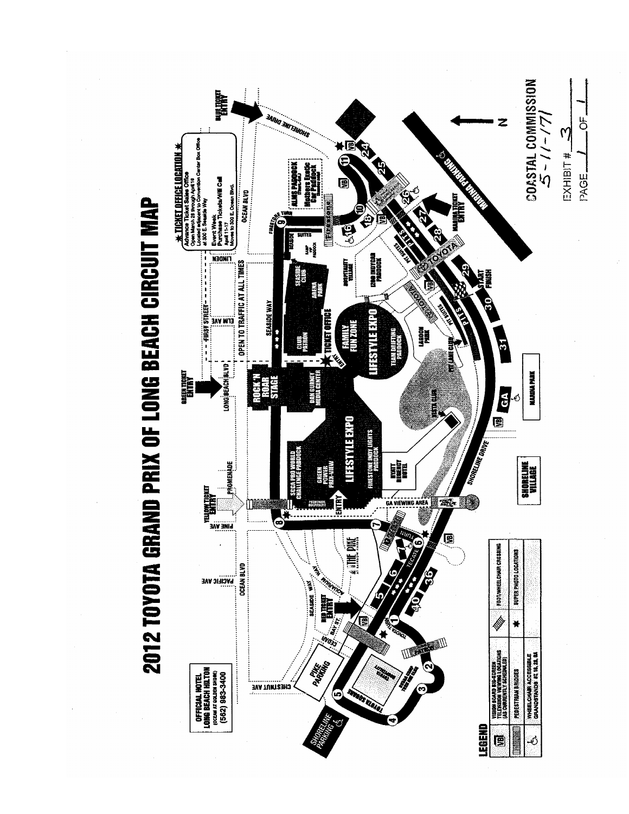

2012 TOYOTA GRAND PRIX OF LONG BEACH CIRCUIT MAP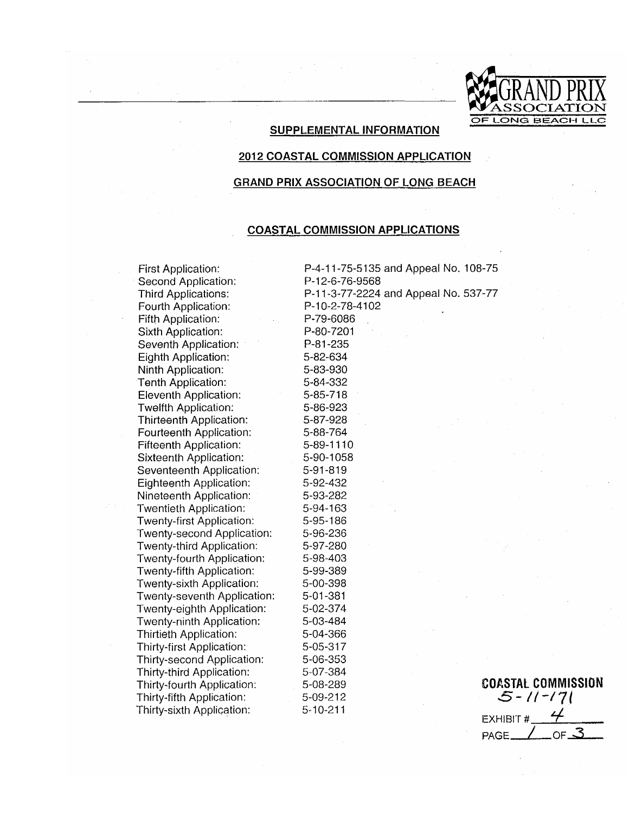

#### **SUPPLEMENTAL INFORMATION**

#### **2012 COASTAL COMMISSION APPLICATION**

#### **GRAND PRIX ASSOCIATION OF LONG BEACH**

#### **COASTAL COMMISSION APPLICATIONS**

5-09-212

 $5-10-211$ 

First Application: Second Application: **Third Applications:** Fourth Application: Fifth Application: Sixth Application: Seventh Application: Eighth Application: Ninth Application: Tenth Application: Eleventh Application: Twelfth Application: Thirteenth Application: Fourteenth Application: Fifteenth Application: Sixteenth Application: Seventeenth Application: Eighteenth Application: Nineteenth Application: Twentieth Application: **Twenty-first Application:** Twenty-second Application: Twenty-third Application: Twenty-fourth Application: Twenty-fifth Application: Twenty-sixth Application: Twenty-seventh Application: Twenty-eighth Application: Twenty-ninth Application: Thirtieth Application: Thirty-first Application: Thirty-second Application: Thirty-third Application: Thirty-fourth Application: Thirty-fifth Application: Thirty-sixth Application:

P-4-11-75-5135 and Appeal No. 108-75 P-12-6-76-9568 P-11-3-77-2224 and Appeal No. 537-77 P-10-2-78-4102 P-79-6086 P-80-7201 P-81-235 5-82-634 5-83-930 5-84-332 5-85-718 5-86-923 5-87-928 5-88-764 5-89-1110 5-90-1058 5-91-819 5-92-432 5-93-282 5-94-163 5-95-186 5-96-236 5-97-280 5-98-403 5-99-389 5-00-398 5-01-381 5-02-374 5-03-484 5-04-366 5-05-317 5-06-353 5-07-384 5-08-289

**COASTAL COMMISSION**  $5 - 11 - 171$ **EXHIBIT #** OF  $\mathcal{Z}$ PAGE.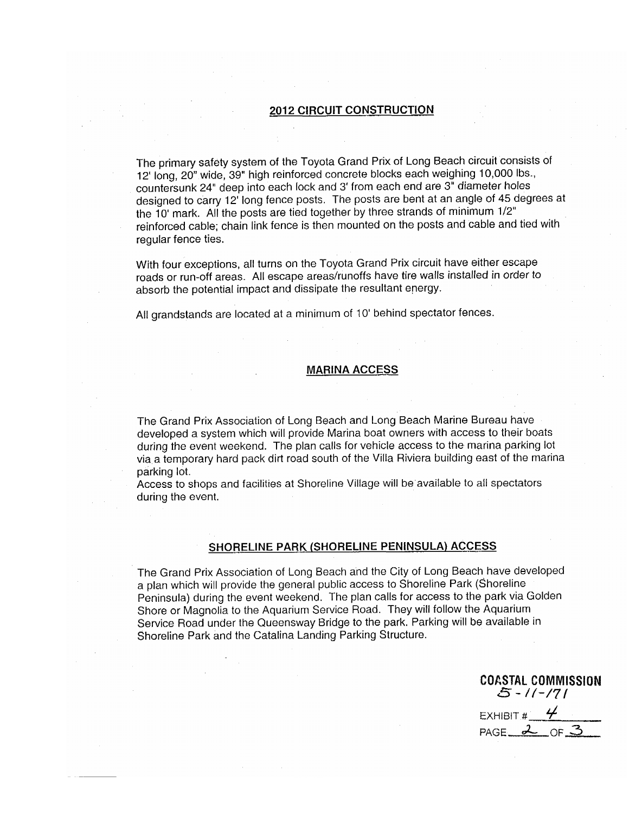#### **2012 CIRCUIT CONSTRUCTION**

The primary safety system of the Toyota Grand Prix of Long Beach circuit consists of 12' long, 20" wide, 39" high reinforced concrete blocks each weighing 10,000 lbs., countersunk 24" deep into each lock and 3' from each end are 3" diameter holes designed to carry 12' long fence posts. The posts are bent at an angle of 45 degrees at the 10' mark. All the posts are tied together by three strands of minimum 1/2" reinforced cable, chain link fence is then mounted on the posts and cable and tied with regular fence ties.

With four exceptions, all turns on the Toyota Grand Prix circuit have either escape roads or run-off areas. All escape areas/runoffs have tire walls installed in order to absorb the potential impact and dissipate the resultant energy.

All grandstands are located at a minimum of 10' behind spectator fences.

#### **MARINA ACCESS**

The Grand Prix Association of Long Beach and Long Beach Marine Bureau have developed a system which will provide Marina boat owners with access to their boats during the event weekend. The plan calls for vehicle access to the marina parking lot via a temporary hard pack dirt road south of the Villa Riviera building east of the marina parking lot.

Access to shops and facilities at Shoreline Village will be available to all spectators during the event.

#### SHORELINE PARK (SHORELINE PENINSULA) ACCESS

The Grand Prix Association of Long Beach and the City of Long Beach have developed a plan which will provide the general public access to Shoreline Park (Shoreline Peninsula) during the event weekend. The plan calls for access to the park via Golden Shore or Magnolia to the Aquarium Service Road. They will follow the Aquarium Service Road under the Queensway Bridge to the park. Parking will be available in Shoreline Park and the Catalina Landing Parking Structure.

**COASTAL COMMISSION** 5 - 11 - 171

EXHIBIT  $\frac{4}{5}$   $\frac{4}{5}$ PAGE  $2$  OF  $3$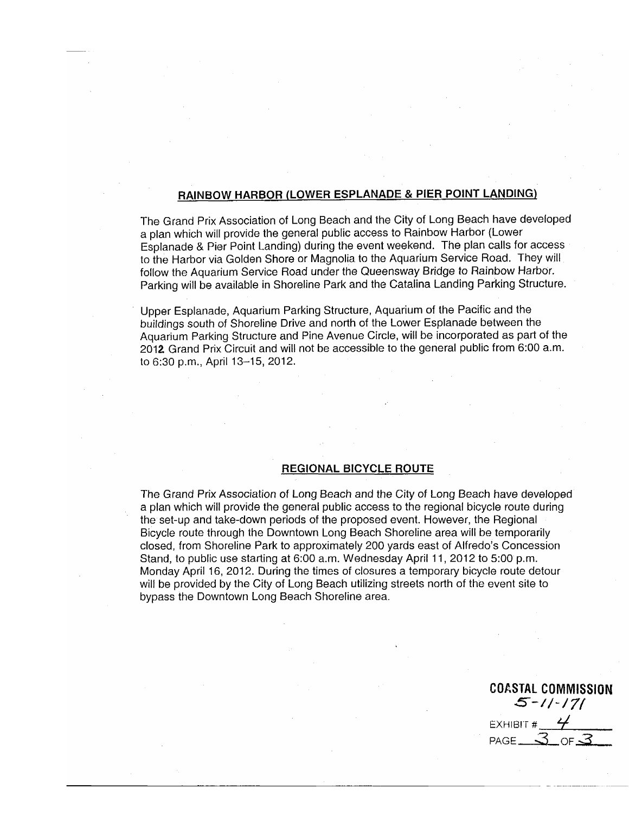#### RAINBOW HARBOR (LOWER ESPLANADE & PIER POINT LANDING)

The Grand Prix Association of Long Beach and the City of Long Beach have developed a plan which will provide the general public access to Rainbow Harbor (Lower Esplanade & Pier Point Landing) during the event weekend. The plan calls for access to the Harbor via Golden Shore or Magnolia to the Aquarium Service Road. They will follow the Aquarium Service Road under the Queensway Bridge to Rainbow Harbor. Parking will be available in Shoreline Park and the Catalina Landing Parking Structure.

Upper Esplanade, Aquarium Parking Structure, Aquarium of the Pacific and the buildings south of Shoreline Drive and north of the Lower Esplanade between the Aquarium Parking Structure and Pine Avenue Circle, will be incorporated as part of the 2012 Grand Prix Circuit and will not be accessible to the general public from 6:00 a.m. to 6:30 p.m., April 13-15, 2012.

#### **REGIONAL BICYCLE ROUTE**

The Grand Prix Association of Long Beach and the City of Long Beach have developed a plan which will provide the general public access to the regional bicycle route during the set-up and take-down periods of the proposed event. However, the Regional Bicycle route through the Downtown Long Beach Shoreline area will be temporarily closed, from Shoreline Park to approximately 200 yards east of Alfredo's Concession Stand, to public use starting at 6:00 a.m. Wednesday April 11, 2012 to 5:00 p.m. Monday April 16, 2012. During the times of closures a temporary bicycle route detour will be provided by the City of Long Beach utilizing streets north of the event site to bypass the Downtown Long Beach Shoreline area.

**COASTAL COMMISSION**  $5 - 11 - 171$ EXHIBIT #  $4$ PAGE\_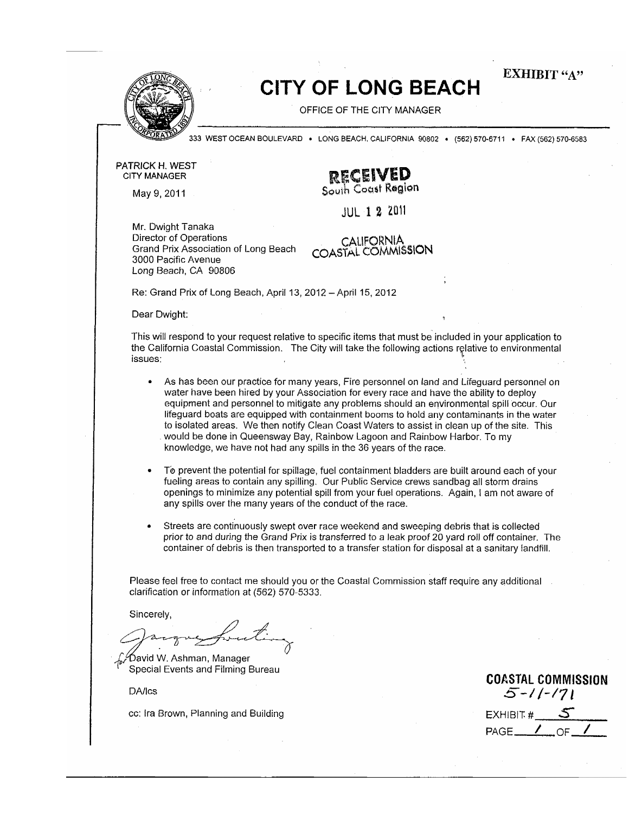**EXHIBIT** "A"



# **CITY OF LONG BEACH**

OFFICE OF THE CITY MANAGER

333 WEST OCEAN BOULEVARD . LONG BEACH, CALIFORNIA 90802 . (562) 570-6711 . FAX (562) 570-6583

PATRICK H. WEST **CITY MANAGER** 

May 9, 2011

**RECEIVED**<br>South Coast Region

**JUL 1 2 2011** 

Mr. Dwight Tanaka Director of Operations Grand Prix Association of Long Beach 3000 Pacific Avenue Long Beach, CA 90806

CALIFORNIA COASTAL COMMISSION

Re: Grand Prix of Long Beach, April 13, 2012 - April 15, 2012

Dear Dwight:

This will respond to your request relative to specific items that must be included in your application to the California Coastal Commission. The City will take the following actions relative to environmental issues:

- As has been our practice for many years, Fire personnel on land and Lifeguard personnel on  $\bullet$ water have been hired by your Association for every race and have the ability to deploy equipment and personnel to mitigate any problems should an environmental spill occur. Our lifeguard boats are equipped with containment booms to hold any contaminants in the water to isolated areas. We then notify Clean Coast Waters to assist in clean up of the site. This would be done in Queensway Bay, Rainbow Lagoon and Rainbow Harbor. To my knowledge, we have not had any spills in the 36 years of the race.
- To prevent the potential for spillage, fuel containment bladders are built around each of your fueling areas to contain any spilling. Our Public Service crews sandbag all storm drains openings to minimize any potential spill from your fuel operations. Again, I am not aware of any spills over the many years of the conduct of the race.
- Streets are continuously swept over race weekend and sweeping debris that is collected prior to and during the Grand Prix is transferred to a leak proof 20 yard roll off container. The container of debris is then transported to a transfer station for disposal at a sanitary landfill.

Please feel free to contact me should you or the Coastal Commission staff require any additional clarification or information at (562) 570-5333.

Sincerely,

David W. Ashman, Manager Special Events and Filming Bureau

**DA/Ics** 

cc: Ira Brown, Planning and Building

**COASTAL COMMISSION**  $5 - 11 - 171$ EXHIBIT  $#$  5  $PAGE$  /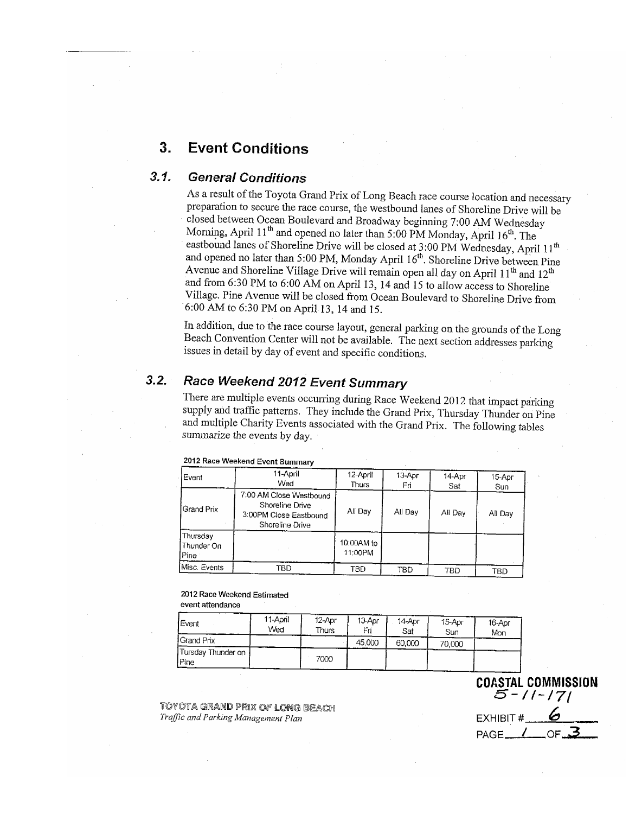#### 3. **Event Conditions**

#### $3.1.$ **General Conditions**

As a result of the Toyota Grand Prix of Long Beach race course location and necessary preparation to secure the race course, the westbound lanes of Shoreline Drive will be closed between Ocean Boulevard and Broadway beginning 7:00 AM Wednesday Morning, April 11<sup>th</sup> and opened no later than 5:00 PM Monday, April 16<sup>th</sup>. The eastbound lanes of Shoreline Drive will be closed at 3:00 PM Wednesday, April 11<sup>th</sup> and opened no later than 5:00 PM, Monday April 16<sup>th</sup>. Shoreline Drive between Pine Avenue and Shoreline Village Drive will remain open all day on April 11<sup>th</sup> and 12<sup>th</sup> and from 6:30 PM to 6:00 AM on April 13, 14 and 15 to allow access to Shoreline Village. Pine Avenue will be closed from Ocean Boulevard to Shoreline Drive from 6:00 AM to 6:30 PM on April 13, 14 and 15.

In addition, due to the race course layout, general parking on the grounds of the Long Beach Convention Center will not be available. The next section addresses parking issues in detail by day of event and specific conditions.

#### $3.2.$ Race Weekend 2012 Event Summary

There are multiple events occurring during Race Weekend 2012 that impact parking supply and traffic patterns. They include the Grand Prix, Thursday Thunder on Pine and multiple Charity Events associated with the Grand Prix. The following tables summarize the events by day.

| Event                            | 11-April<br>Wed                                                                         | 12-April<br>Thurs     | 13-Apr<br>Fri | 14-Apr<br>Sat | 15-Apr<br>Sun |
|----------------------------------|-----------------------------------------------------------------------------------------|-----------------------|---------------|---------------|---------------|
| <b>IGrand Prix</b>               | 7:00 AM Close Westbound<br>Shoreline Drive<br>3:00PM Close Eastbound<br>Shoreline Drive | All Day               | All Day       | All Day       | All Day       |
| Thursday<br>Thunder On<br>Pine : |                                                                                         | 10:00AM to<br>11:00PM |               |               |               |
| Misc. Events                     | TBD                                                                                     | TBD                   | тво           | TBD           | TBD           |

#### 2012 Race Weekend Event Summary

# 2012 Race Weekend Estimated

#### event attendance

| Event                        | 11-April<br>Wed | 12-Apr<br><b>Thurs</b> | 13-Apr<br>Fri | 14-Apr<br>Sat | 15-Apr<br>Sun | 16-Apr<br>Mon |
|------------------------------|-----------------|------------------------|---------------|---------------|---------------|---------------|
| l Grand Prix                 |                 |                        | 45,000        | 60,000        | 70,000        |               |
| Tursday Thunder on !<br>Pine |                 | 7000                   |               |               |               |               |

**COASTAL COMMISSION**  $5 - 11 - 171$ EXHIBIT #

OF.

 $PAGE$ 

TOYOTA GRAND PRIX OF LONG BEACH Traffic and Parking Management Plan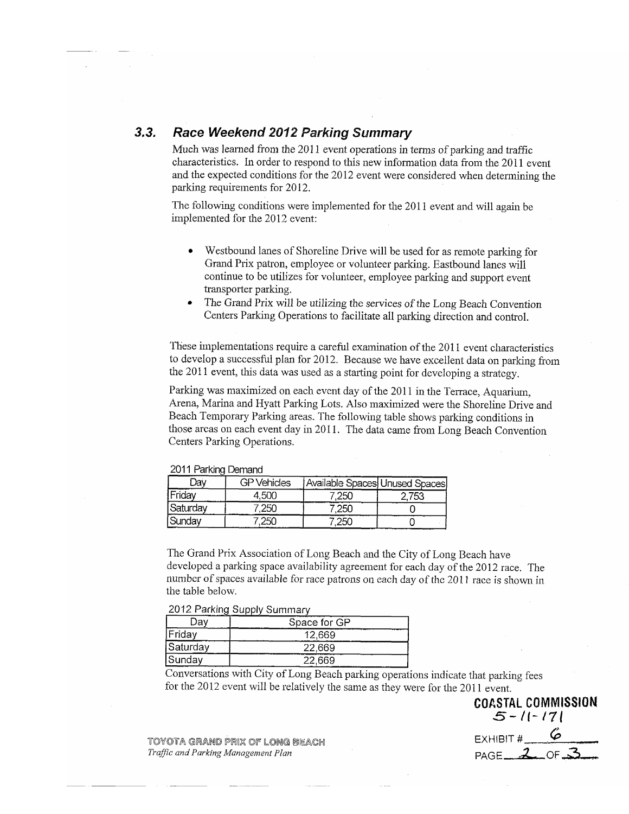#### $3.3.$ Race Weekend 2012 Parking Summary

Much was learned from the 2011 event operations in terms of parking and traffic characteristics. In order to respond to this new information data from the 2011 event and the expected conditions for the 2012 event were considered when determining the parking requirements for 2012.

The following conditions were implemented for the 2011 event and will again be implemented for the 2012 event:

- Westbound lanes of Shoreline Drive will be used for as remote parking for  $\bullet$ Grand Prix patron, employee or volunteer parking. Eastbound lanes will continue to be utilizes for volunteer, employee parking and support event transporter parking.
- The Grand Prix will be utilizing the services of the Long Beach Convention Centers Parking Operations to facilitate all parking direction and control.

These implementations require a careful examination of the 2011 event characteristics to develop a successful plan for 2012. Because we have excellent data on parking from the 2011 event, this data was used as a starting point for developing a strategy.

Parking was maximized on each event day of the 2011 in the Terrace, Aquarium, Arena, Marina and Hyatt Parking Lots. Also maximized were the Shoreline Drive and Beach Temporary Parking areas. The following table shows parking conditions in those areas on each event day in 2011. The data came from Long Beach Convention Centers Parking Operations.

| 40 I LEGININ DOIIGIN |                    |                                |      |
|----------------------|--------------------|--------------------------------|------|
| Dav                  | <b>GP Vehicles</b> | Available Spaces Unused Spaces |      |
| 'Friday              | 4.500              | 250                            | 753. |
| Saturday             | 25C                |                                |      |
| Sunday               | 250                |                                |      |

2011 Parking Demand

The Grand Prix Association of Long Beach and the City of Long Beach have developed a parking space availability agreement for each day of the 2012 race. The number of spaces available for race patrons on each day of the 2011 race is shown in the table below.

2012 Parking Supply Summary

| Ja۱      | Space for GP |
|----------|--------------|
| Friday   | 12.669       |
| Saturday | 22,669       |
| Sunday   | 22.669       |

Conversations with City of Long Beach parking operations indicate that parking fees for the 2012 event will be relatively the same as they were for the 2011 event.

TOYOTA GRAND PRIX OF LONG BEACH Traffic and Parking Management Plan

 $5 - 11 - 171$ EXHIBIT # PAGE  $20F$ 

**COASTAL COMMISSION**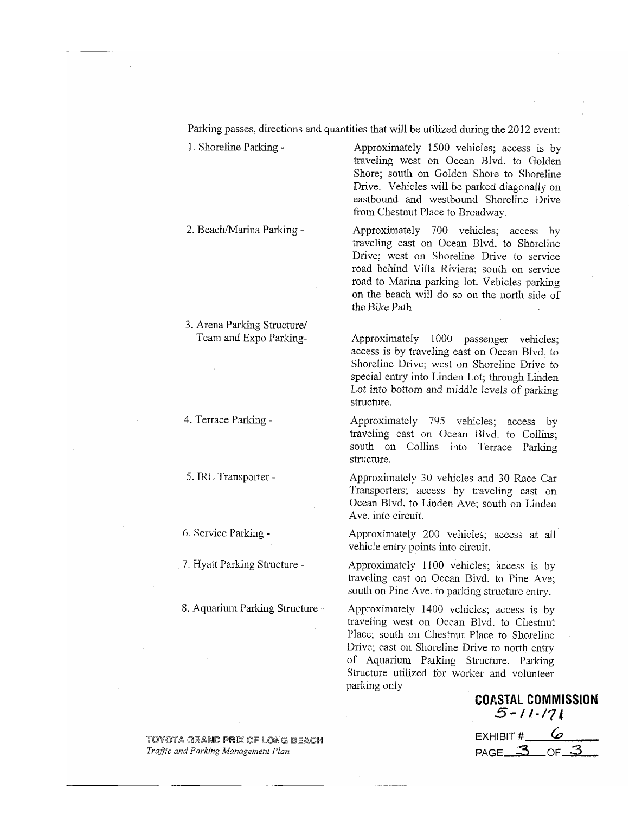Parking passes, directions and quantities that will be utilized during the 2012 event:

1. Shoreline Parking -

2. Beach/Marina Parking -

3. Arena Parking Structure/ Team and Expo Parking-

4. Terrace Parking -

5. IRL Transporter -

6. Service Parking -

7. Hyatt Parking Structure -

8. Aquarium Parking Structure -

Approximately 1500 vehicles; access is by traveling west on Ocean Blvd. to Golden Shore; south on Golden Shore to Shoreline Drive. Vehicles will be parked diagonally on eastbound and westbound Shoreline Drive from Chestnut Place to Broadway.

Approximately 700 vehicles; access by traveling east on Ocean Blvd. to Shoreline Drive; west on Shoreline Drive to service road behind Villa Riviera; south on service road to Marina parking lot. Vehicles parking on the beach will do so on the north side of the Bike Path

Approximately 1000 passenger vehicles; access is by traveling east on Ocean Blvd. to Shoreline Drive; west on Shoreline Drive to special entry into Linden Lot; through Linden Lot into bottom and middle levels of parking structure.

Approximately 795 vehicles; access by traveling east on Ocean Blvd. to Collins: south on Collins into Terrace Parking structure.

Approximately 30 vehicles and 30 Race Car Transporters; access by traveling east on Ocean Blvd. to Linden Ave; south on Linden Ave. into circuit.

Approximately 200 vehicles; access at all vehicle entry points into circuit.

Approximately 1100 vehicles; access is by traveling east on Ocean Blvd. to Pine Ave: south on Pine Ave. to parking structure entry.

Approximately 1400 vehicles; access is by traveling west on Ocean Blvd. to Chestnut Place; south on Chestnut Place to Shoreline Drive; east on Shoreline Drive to north entry of Aquarium Parking Structure. Parking Structure utilized for worker and volunteer parking only

**COASTAL COMMISSION**  $5 - 11 - 171$ EXHIBIT # PAGE<sub> $-3$ </sub> OF\_

TOYOTA GRAND PRIX OF LONG BEACH Traffic and Parking Management Plan